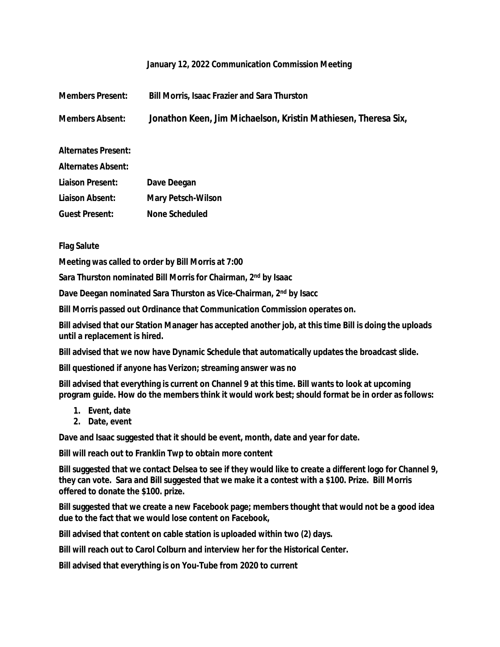## **January 12, 2022 Communication Commission Meeting**

| <b>Members Present:</b>    | <b>Bill Morris, Isaac Frazier and Sara Thurston</b>            |
|----------------------------|----------------------------------------------------------------|
| <b>Members Absent:</b>     | Jonathon Keen, Jim Michaelson, Kristin Mathiesen, Theresa Six, |
| <b>Alternates Present:</b> |                                                                |
| <b>Alternates Absent:</b>  |                                                                |
| <b>Liaison Present:</b>    | Dave Deegan                                                    |
| Liaison Absent:            | <b>Mary Petsch-Wilson</b>                                      |
| <b>Guest Present:</b>      | None Scheduled                                                 |

**Flag Salute**

**Meeting was called to order by Bill Morris at 7:00**

**Sara Thurston nominated Bill Morris for Chairman, 2nd by Isaac**

**Dave Deegan nominated Sara Thurston as Vice-Chairman, 2 nd by Isacc**

**Bill Morris passed out Ordinance that Communication Commission operates on.**

**Bill advised that our Station Manager has accepted another job, at this time Bill is doing the uploads until a replacement is hired.**

**Bill advised that we now have Dynamic Schedule that automatically updates the broadcast slide.**

**Bill questioned if anyone has Verizon; streaming answer was no**

**Bill advised that everything is current on Channel 9 at this time. Bill wants to look at upcoming program guide. How do the members think it would work best; should format be in order as follows:**

- **1. Event, date**
- **2. Date, event**

**Dave and Isaac suggested that it should be event, month, date and year for date.**

**Bill will reach out to Franklin Twp to obtain more content**

**Bill suggested that we contact Delsea to see if they would like to create a different logo for Channel 9, they can vote. Sara and Bill suggested that we make it a contest with a \$100. Prize. Bill Morris offered to donate the \$100. prize.**

**Bill suggested that we create a new Facebook page; members thought that would not be a good idea due to the fact that we would lose content on Facebook,**

**Bill advised that content on cable station is uploaded within two (2) days.**

**Bill will reach out to Carol Colburn and interview her for the Historical Center.**

**Bill advised that everything is on You-Tube from 2020 to current**